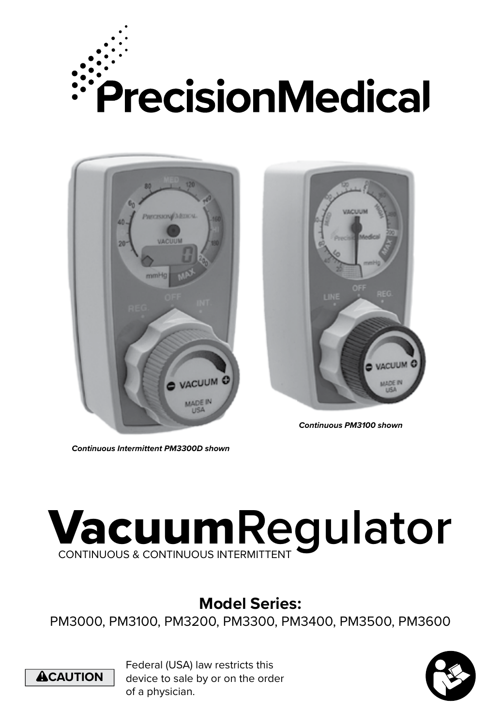





*Continuous PM3100 shown*

*Continuous Intermittent PM3300D shown*

# Vacuum**Regulator** CONTINUOUS & CONTINUOUS INTERMITTENT

# **Model Series:**

PM3000, PM3100, PM3200, PM3300, PM3400, PM3500, PM3600



Federal (USA) law restricts this device to sale by or on the order of a physician.

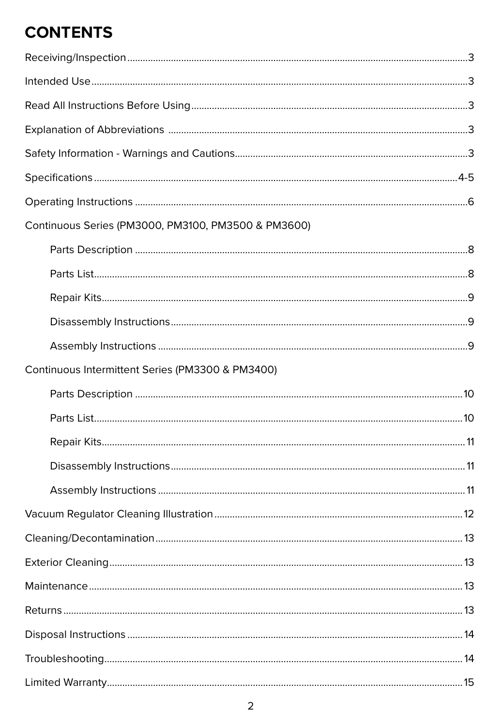# **CONTENTS**

| Continuous Series (PM3000, PM3100, PM3500 & PM3600) |           |
|-----------------------------------------------------|-----------|
|                                                     |           |
|                                                     |           |
|                                                     |           |
|                                                     |           |
|                                                     |           |
| Continuous Intermittent Series (PM3300 & PM3400)    |           |
|                                                     |           |
|                                                     |           |
|                                                     |           |
|                                                     |           |
|                                                     |           |
|                                                     |           |
|                                                     |           |
|                                                     |           |
|                                                     |           |
|                                                     |           |
|                                                     |           |
|                                                     |           |
| <u>I imited Warranty [1996]</u>                     | $\sim$ 15 |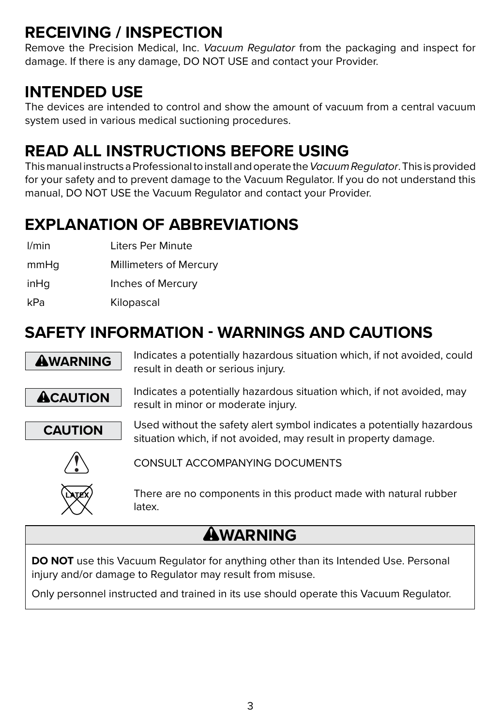# **RECEIVING / INSPECTION**

Remove the Precision Medical, Inc. *Vacuum Regulator* from the packaging and inspect for damage. If there is any damage, DO NOT USE and contact your Provider.

### **INTENDED USE**

The devices are intended to control and show the amount of vacuum from a central vacuum system used in various medical suctioning procedures.

# **READ ALL INSTRUCTIONS BEFORE USING**

This manual instructs a Professional to install and operate the *Vacuum Regulator*. This is provided for your safety and to prevent damage to the Vacuum Regulator. If you do not understand this manual, DO NOT USE the Vacuum Regulator and contact your Provider.

# **EXPLANATION OF ABBREVIATIONS**

l/min Liters Per Minute

mmHg Millimeters of Mercury

inHq Inches of Mercury

kPa Kilopascal

# **SAFETY INFORMATION - WARNINGS AND CAUTIONS**



**AWARNING** Indicates a potentially hazardous situation which, if not avoided, could result in death or serious injury.



**ACAUTION** Indicates a potentially hazardous situation which, if not avoided, may result in minor or moderate injury.



**CAUTION** Used without the safety alert symbol indicates a potentially hazardous situation which, if not avoided, may result in property damage.



CONSULT ACCOMPANYING DOCUMENTS



There are no components in this product made with natural rubber latex.

# **AWARNING**

**DO NOT** use this Vacuum Regulator for anything other than its Intended Use. Personal injury and/or damage to Regulator may result from misuse.

Only personnel instructed and trained in its use should operate this Vacuum Regulator.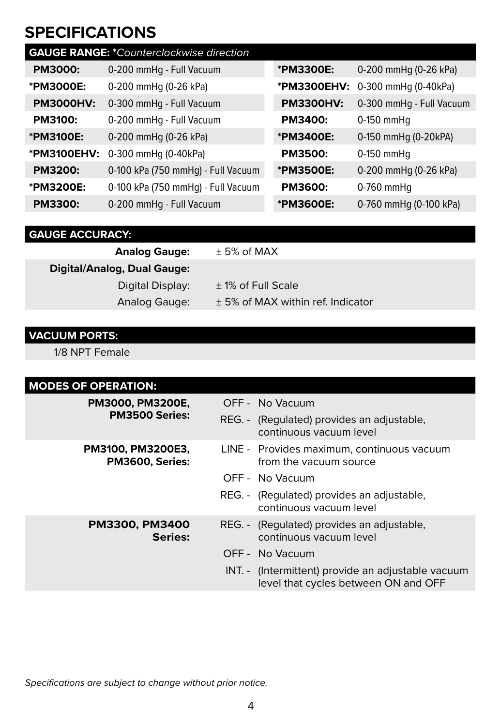### **SPECIFICATIONS**

| <b>GAUGE RANGE: *Counterclockwise direction</b> |                                    |                  |                          |
|-------------------------------------------------|------------------------------------|------------------|--------------------------|
| PM3000:                                         | 0-200 mmHg - Full Vacuum           | *PM3300E:        | 0-200 mmHg (0-26 kPa)    |
| *PM3000E:                                       | 0-200 mmHg (0-26 kPa)              | *PM3300EHV:      | 0-300 mmHg (0-40kPa)     |
| <b>PM3000HV:</b>                                | 0-300 mmHg - Full Vacuum           | <b>PM3300HV:</b> | 0-300 mmHg - Full Vacuum |
| <b>PM3100:</b>                                  | 0-200 mmHg - Full Vacuum           | PM3400:          | $0-150$ mmHq             |
| *PM3100E:                                       | 0-200 mmHg (0-26 kPa)              | *PM3400E:        | 0-150 mmHg (0-20kPA)     |
| *PM3100EHV:                                     | 0-300 mmHg (0-40kPa)               | <b>PM3500:</b>   | $0-150$ mmHq             |
| PM3200:                                         | 0-100 kPa (750 mmHg) - Full Vacuum | *PM3500E:        | 0-200 mmHg (0-26 kPa)    |
| *PM3200E:                                       | 0-100 kPa (750 mmHg) - Full Vacuum | <b>PM3600:</b>   | $0-760$ mmHq             |
| PM3300:                                         | 0-200 mmHg - Full Vacuum           | *PM3600E:        | 0-760 mmHg (0-100 kPa)   |

#### **GAUGE ACCURACY:**

| <b>Analog Gauge:</b>        | $± 5\%$ of MAX                    |
|-----------------------------|-----------------------------------|
| Digital/Analog, Dual Gauge: |                                   |
| Digital Display:            | ± 1% of Full Scale                |
| Analog Gauge:               | ± 5% of MAX within ref. Indicator |

#### **VACUUM PORTS:**

1/8 NPT Female

| <b>MODES OF OPERATION:</b>           |                                                                                            |
|--------------------------------------|--------------------------------------------------------------------------------------------|
| PM3000, PM3200E,                     | OFF - No Vacuum                                                                            |
| <b>PM3500 Series:</b>                | REG. - (Regulated) provides an adjustable,<br>continuous vacuum level                      |
| PM3100, PM3200E3,<br>PM3600, Series: | LINE - Provides maximum, continuous vacuum<br>from the vacuum source                       |
|                                      | OFF - No Vacuum                                                                            |
|                                      | REG. - (Regulated) provides an adjustable,<br>continuous vacuum level                      |
| PM3300, PM3400<br>Series:            | REG. - (Regulated) provides an adjustable,<br>continuous vacuum level                      |
|                                      | OFF - No Vacuum                                                                            |
|                                      | INT. - (Intermittent) provide an adjustable vacuum<br>level that cycles between ON and OFF |
|                                      |                                                                                            |

*Specifications are subject to change without prior notice.*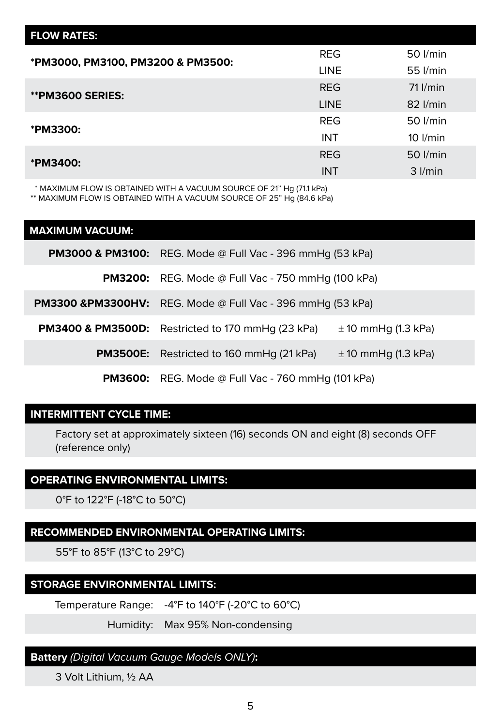| <b>FLOW RATES:</b>                |             |              |
|-----------------------------------|-------------|--------------|
| *PM3000, PM3100, PM3200 & PM3500: | <b>REG</b>  | 50 l/min     |
|                                   | <b>LINE</b> | 55 l/min     |
| <b>**PM3600 SERIES:</b>           | <b>REG</b>  | $71$ $l/min$ |
|                                   | <b>LINE</b> | $82$ $l/min$ |
| *PM3300:                          | <b>REG</b>  | 50 l/min     |
|                                   | <b>INT</b>  | $10$ $l/min$ |
| *PM3400:                          | <b>REG</b>  | 50 l/min     |
|                                   | <b>INT</b>  | $3$ $l/min$  |

\* MAXIMUM FLOW IS OBTAINED WITH A VACUUM SOURCE OF 21" Hg (71.1 kPa)

\*\* MAXIMUM FLOW IS OBTAINED WITH A VACUUM SOURCE OF 25" Hg (84.6 kPa)

| <b>MAXIMUM VACUUM:</b> |                                                                        |                         |
|------------------------|------------------------------------------------------------------------|-------------------------|
|                        | <b>PM3000 &amp; PM3100:</b> REG. Mode @ Full Vac - 396 mmHq (53 kPa)   |                         |
|                        | <b>PM3200:</b> REG. Mode @ Full Vac - 750 mmHg (100 kPa)               |                         |
|                        | <b>PM3300 &amp;PM3300HV:</b> REG. Mode @ Full Vac - 396 mmHq (53 kPa)  |                         |
|                        | <b>PM3400 &amp; PM3500D:</b> Restricted to 170 mmHg $(23 \text{ kPa})$ | $\pm$ 10 mmHg (1.3 kPa) |
|                        | <b>PM3500E:</b> Restricted to 160 mmHq (21 kPa)                        | $\pm$ 10 mmHg (1.3 kPa) |
|                        |                                                                        |                         |

**PM3600:** REG. Mode @ Full Vac - 760 mmHg (101 kPa)

#### **INTERMITTENT CYCLE TIME:**

Factory set at approximately sixteen (16) seconds ON and eight (8) seconds OFF (reference only)

#### **OPERATING ENVIRONMENTAL LIMITS:**

0°F to 122°F (-18°C to 50°C)

#### **RECOMMENDED ENVIRONMENTAL OPERATING LIMITS:**

55°F to 85°F (13°C to 29°C)

#### **STORAGE ENVIRONMENTAL LIMITS:**

Temperature Range: -4°F to 140°F (-20°C to 60°C)

Humidity: Max 95% Non-condensing

#### **Battery** *(Digital Vacuum Gauge Models ONLY)***:**

3 Volt Lithium, ½ AA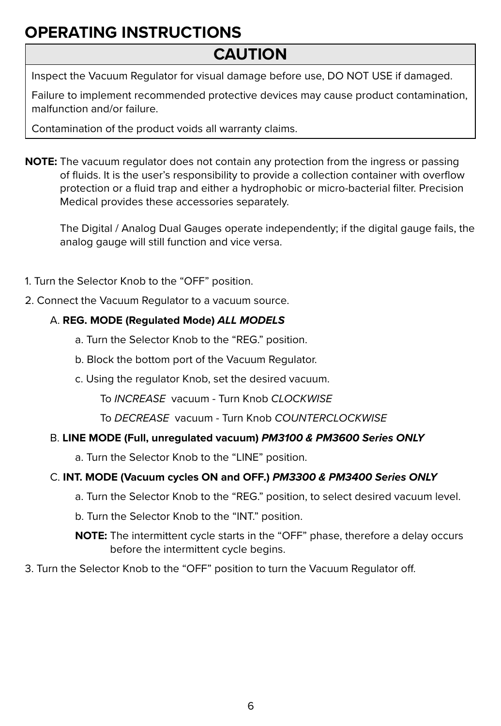# **OPERATING INSTRUCTIONS**

### **CAUTION**

Inspect the Vacuum Regulator for visual damage before use, DO NOT USE if damaged.

Failure to implement recommended protective devices may cause product contamination, malfunction and/or failure.

Contamination of the product voids all warranty claims.

**NOTE:** The vacuum regulator does not contain any protection from the ingress or passing of fluids. It is the user's responsibility to provide a collection container with overflow protection or a fluid trap and either a hydrophobic or micro-bacterial filter. Precision Medical provides these accessories separately.

The Digital / Analog Dual Gauges operate independently; if the digital gauge fails, the analog gauge will still function and vice versa.

- 1. Turn the Selector Knob to the "OFF" position.
- 2. Connect the Vacuum Regulator to a vacuum source.

#### A. **REG. MODE (Regulated Mode)** *ALL MODELS*

- a. Turn the Selector Knob to the "REG." position.
- b. Block the bottom port of the Vacuum Regulator.
- c. Using the regulator Knob, set the desired vacuum.

To *INCREASE* vacuum - Turn Knob *CLOCKWISE*

To *DECREASE* vacuum - Turn Knob *COUNTERCLOCKWISE*

#### B. **LINE MODE (Full, unregulated vacuum)** *PM3100 & PM3600 Series ONLY*

a. Turn the Selector Knob to the "LINE" position.

#### C. **INT. MODE (Vacuum cycles ON and OFF.)** *PM3300 & PM3400 Series ONLY*

- a. Turn the Selector Knob to the "REG." position, to select desired vacuum level.
- b. Turn the Selector Knob to the "INT." position.

**NOTE:** The intermittent cycle starts in the "OFF" phase, therefore a delay occurs before the intermittent cycle begins.

3. Turn the Selector Knob to the "OFF" position to turn the Vacuum Regulator off.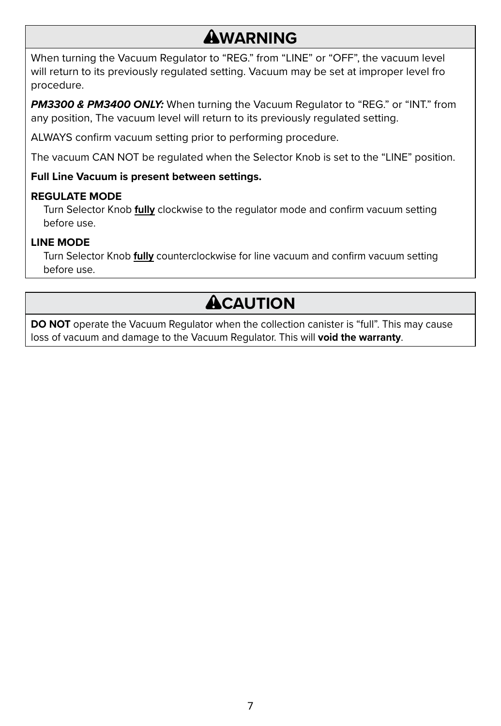### **AWARNING**

When turning the Vacuum Regulator to "REG." from "LINE" or "OFF", the vacuum level will return to its previously regulated setting. Vacuum may be set at improper level fro procedure.

*PM3300 & PM3400 ONLY:* When turning the Vacuum Regulator to "REG." or "INT." from any position, The vacuum level will return to its previously regulated setting.

ALWAYS confirm vacuum setting prior to performing procedure.

The vacuum CAN NOT be regulated when the Selector Knob is set to the "LINE" position.

#### **Full Line Vacuum is present between settings.**

#### **REGULATE MODE**

Turn Selector Knob **fully** clockwise to the regulator mode and confirm vacuum setting before use.

#### **LINE MODE**

Turn Selector Knob **fully** counterclockwise for line vacuum and confirm vacuum setting before use.

# **ACAUTION**

**DO NOT** operate the Vacuum Regulator when the collection canister is "full". This may cause loss of vacuum and damage to the Vacuum Regulator. This will **void the warranty**.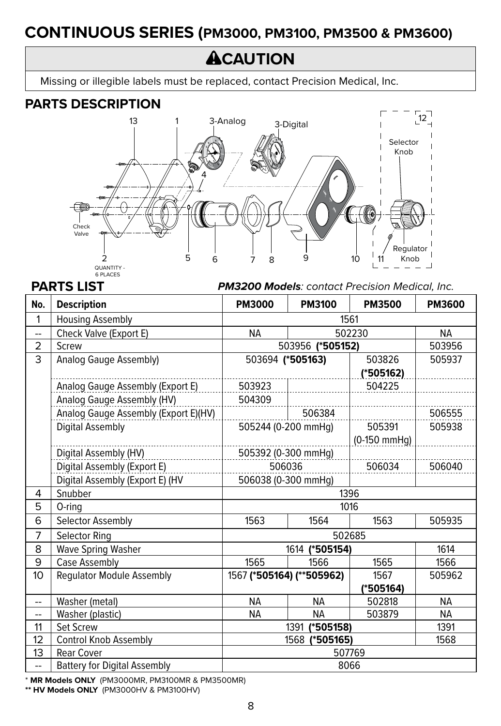### **CONTINUOUS SERIES (PM3000, PM3100, PM3500 & PM3600)**

# **ACAUTION**

Missing or illegible labels must be replaced, contact Precision Medical, Inc.

#### **PARTS DESCRIPTION**



**PARTS LIST** *PM3200 Models: contact Precision Medical, Inc.*

| No.            | <b>Description</b>                   | <b>PM3000</b>          | <b>PM3100</b>             | <b>PM3500</b>  | PM3600    |
|----------------|--------------------------------------|------------------------|---------------------------|----------------|-----------|
| 1              | <b>Housing Assembly</b>              |                        |                           | 1561           |           |
| <u></u>        | Check Valve (Export E)               | <b>NA</b>              |                           | 502230         | <b>NA</b> |
| $\overline{2}$ | Screw                                |                        | 503956 (*505152)          |                | 503956    |
| 3              | Analog Gauge Assembly)               | 503694 (*505163)       |                           | 503826         | 505937    |
|                |                                      |                        |                           | (*505162)      |           |
|                | Analog Gauge Assembly (Export E)     | 503923                 |                           | 504225         |           |
|                | Analog Gauge Assembly (HV)           | 504309                 |                           |                |           |
|                | Analog Gauge Assembly (Export E)(HV) |                        | 506384                    |                | 506555    |
|                | Digital Assembly                     |                        | 505244 (0-200 mmHg)       | 505391         | 505938    |
|                |                                      |                        |                           | $(0-150$ mmHg) |           |
|                | Digital Assembly (HV)                |                        | 505392 (0-300 mmHg)       |                |           |
|                | Digital Assembly (Export E)          | 506036                 |                           | 506034         | 506040    |
|                | Digital Assembly (Export E) (HV      | 506038 (0-300 mmHg)    |                           |                |           |
| 4              | Snubber                              |                        |                           | 1396           |           |
| 5              | 0-ring                               | 1016                   |                           |                |           |
| 6              | Selector Assembly                    | 1563                   | 1564                      | 1563           | 505935    |
| 7              | <b>Selector Ring</b>                 |                        |                           | 502685         |           |
| 8              | Wave Spring Washer                   | 1614<br>1614 (*505154) |                           |                |           |
| 9              | Case Assembly                        | 1565                   | 1566                      | 1565           | 1566      |
| 10             | <b>Regulator Module Assembly</b>     |                        | 1567 (*505164) (**505962) | 1567           | 505962    |
|                |                                      |                        |                           | (*505164)      |           |
| --             | Washer (metal)                       | <b>NA</b>              | <b>NA</b>                 | 502818         | <b>NA</b> |
| --             | Washer (plastic)                     | <b>NA</b>              | <b>NA</b>                 | 503879         | <b>NA</b> |
| 11             | <b>Set Screw</b>                     |                        | 1391<br>(*505158)         |                | 1391      |
| 12             | <b>Control Knob Assembly</b>         |                        | 1568 (*505165)            |                | 1568      |
| 13             | <b>Rear Cover</b>                    |                        |                           | 507769         |           |
| --             | <b>Battery for Digital Assembly</b>  | 8066                   |                           |                |           |

\* **MR Models ONLY** (PM3000MR, PM3100MR & PM3500MR)

**\*\* HV Models ONLY** (PM3000HV & PM3100HV)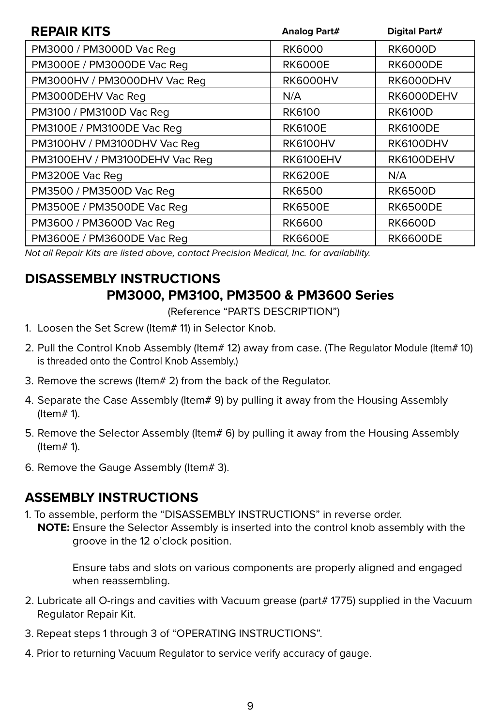| <b>REPAIR KITS</b>             | Analog Part#    | Digital Part#   |
|--------------------------------|-----------------|-----------------|
| PM3000 / PM3000D Vac Reg       | <b>RK6000</b>   | <b>RK6000D</b>  |
| PM3000E / PM3000DE Vac Req     | <b>RK6000E</b>  | <b>RK6000DE</b> |
| PM3000HV / PM3000DHV Vac Req   | <b>RK6000HV</b> | RK6000DHV       |
| PM3000DEHV Vac Reg             | N/A             | RK6000DEHV      |
| PM3100 / PM3100D Vac Reg       | RK6100          | <b>RK6100D</b>  |
| PM3100E / PM3100DE Vac Reg     | <b>RK6100E</b>  | <b>RK6100DE</b> |
| PM3100HV / PM3100DHV Vac Reg   | <b>RK6100HV</b> | RK6100DHV       |
| PM3100EHV / PM3100DEHV Vac Reg | RK6100EHV       | RK6100DEHV      |
| PM3200E Vac Reg                | <b>RK6200E</b>  | N/A             |
| PM3500 / PM3500D Vac Reg       | <b>RK6500</b>   | <b>RK6500D</b>  |
| PM3500E / PM3500DE Vac Req     | <b>RK6500E</b>  | <b>RK6500DE</b> |
| PM3600 / PM3600D Vac Reg       | <b>RK6600</b>   | <b>RK6600D</b>  |
| PM3600E / PM3600DE Vac Req     | <b>RK6600E</b>  | <b>RK6600DE</b> |

*Not all Repair Kits are listed above, contact Precision Medical, Inc. for availability.*

#### **DISASSEMBLY INSTRUCTIONS PM3000, PM3100, PM3500 & PM3600 Series**

(Reference "PARTS DESCRIPTION")

- 1. Loosen the Set Screw (Item# 11) in Selector Knob.
- 2. Pull the Control Knob Assembly (Item# 12) away from case. (The Regulator Module (Item# 10) is threaded onto the Control Knob Assembly.)
- 3. Remove the screws (Item# 2) from the back of the Regulator.
- 4. Separate the Case Assembly (Item# 9) by pulling it away from the Housing Assembly (Item# 1).
- 5. Remove the Selector Assembly (Item# 6) by pulling it away from the Housing Assembly (Item# 1).
- 6. Remove the Gauge Assembly (Item# 3).

#### **ASSEMBLY INSTRUCTIONS**

- 1. To assemble, perform the "DISASSEMBLY INSTRUCTIONS" in reverse order.
	- **NOTE:** Ensure the Selector Assembly is inserted into the control knob assembly with the groove in the 12 o'clock position.

Ensure tabs and slots on various components are properly aligned and engaged when reassembling.

- 2. Lubricate all O-rings and cavities with Vacuum grease (part# 1775) supplied in the Vacuum Regulator Repair Kit.
- 3. Repeat steps 1 through 3 of "OPERATING INSTRUCTIONS".
- 4. Prior to returning Vacuum Regulator to service verify accuracy of gauge.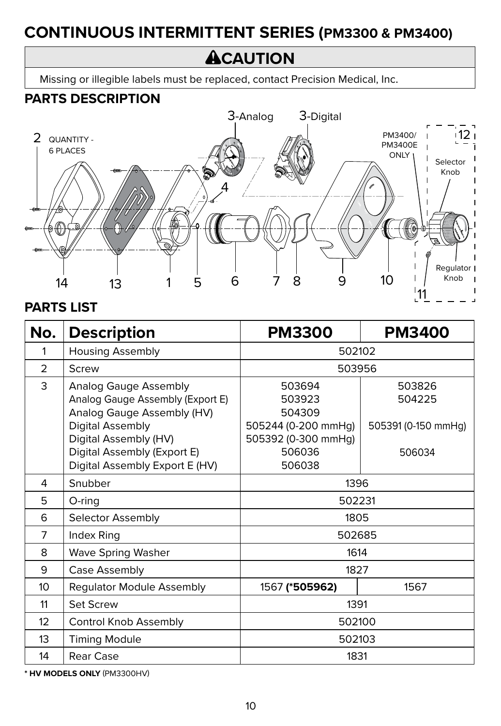# **CONTINUOUS INTERMITTENT SERIES (PM3300 & PM3400)**

# **ACAUTION**

Missing or illegible labels must be replaced, contact Precision Medical, Inc.

#### **PARTS DESCRIPTION**



#### **PARTS LIST**

| No.             | <b>Description</b>                                                                                                                                                                                    | <b>PM3300</b>                                                                                | <b>PM3400</b>                                     |
|-----------------|-------------------------------------------------------------------------------------------------------------------------------------------------------------------------------------------------------|----------------------------------------------------------------------------------------------|---------------------------------------------------|
| 1               | <b>Housing Assembly</b>                                                                                                                                                                               | 502102                                                                                       |                                                   |
| $\overline{2}$  | Screw                                                                                                                                                                                                 | 503956                                                                                       |                                                   |
| 3               | Analog Gauge Assembly<br>Analog Gauge Assembly (Export E)<br>Analog Gauge Assembly (HV)<br>Digital Assembly<br>Digital Assembly (HV)<br>Digital Assembly (Export E)<br>Digital Assembly Export E (HV) | 503694<br>503923<br>504309<br>505244 (0-200 mmHg)<br>505392 (0-300 mmHg)<br>506036<br>506038 | 503826<br>504225<br>505391 (0-150 mmHg)<br>506034 |
| 4               | Snubber                                                                                                                                                                                               | 1396                                                                                         |                                                   |
| 5               | O-ring                                                                                                                                                                                                | 502231                                                                                       |                                                   |
| 6               | Selector Assembly                                                                                                                                                                                     | 1805                                                                                         |                                                   |
| 7               | Index Ring                                                                                                                                                                                            | 502685                                                                                       |                                                   |
| 8               | <b>Wave Spring Washer</b>                                                                                                                                                                             | 1614                                                                                         |                                                   |
| 9               | Case Assembly                                                                                                                                                                                         | 1827                                                                                         |                                                   |
| 10 <sup>2</sup> | Regulator Module Assembly                                                                                                                                                                             | 1567 (*505962)<br>1567                                                                       |                                                   |
| 11              | <b>Set Screw</b>                                                                                                                                                                                      | 1391                                                                                         |                                                   |
| 12              | Control Knob Assembly                                                                                                                                                                                 | 502100                                                                                       |                                                   |
| 13              | <b>Timing Module</b>                                                                                                                                                                                  | 502103                                                                                       |                                                   |
| 14              | Rear Case                                                                                                                                                                                             | 1831                                                                                         |                                                   |

**\* HV MODELS ONLY** (PM3300HV)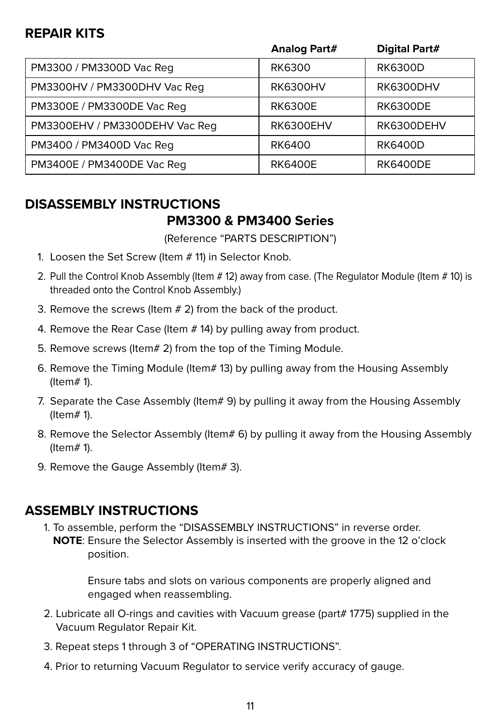#### **REPAIR KITS**

|                                | Analog Part#     | Digital Part#    |
|--------------------------------|------------------|------------------|
| PM3300 / PM3300D Vac Req       | <b>RK6300</b>    | <b>RK6300D</b>   |
| PM3300HV / PM3300DHV Vac Req   | <b>RK6300HV</b>  | <b>RK6300DHV</b> |
| PM3300E / PM3300DE Vac Req     | <b>RK6300E</b>   | <b>RK6300DE</b>  |
| PM3300EHV / PM3300DEHV Vac Req | <b>RK6300EHV</b> | RK6300DEHV       |
| PM3400 / PM3400D Vac Req       | <b>RK6400</b>    | <b>RK6400D</b>   |
| PM3400E / PM3400DE Vac Req     | <b>RK6400E</b>   | <b>RK6400DE</b>  |

# **DISASSEMBLY INSTRUCTIONS**

#### **PM3300 & PM3400 Series**

(Reference "PARTS DESCRIPTION")

- 1. Loosen the Set Screw (Item # 11) in Selector Knob.
- 2. Pull the Control Knob Assembly (Item # 12) away from case. (The Regulator Module (Item # 10) is threaded onto the Control Knob Assembly.)
- 3. Remove the screws (Item # 2) from the back of the product.
- 4. Remove the Rear Case (Item # 14) by pulling away from product.
- 5. Remove screws (Item# 2) from the top of the Timing Module.
- 6. Remove the Timing Module (Item# 13) by pulling away from the Housing Assembly (Item# 1).
- 7. Separate the Case Assembly (Item# 9) by pulling it away from the Housing Assembly (Item# 1).
- 8. Remove the Selector Assembly (Item# 6) by pulling it away from the Housing Assembly (Item# 1).
- 9. Remove the Gauge Assembly (Item# 3).

#### **ASSEMBLY INSTRUCTIONS**

1. To assemble, perform the "DISASSEMBLY INSTRUCTIONS" in reverse order. **NOTE**: Ensure the Selector Assembly is inserted with the groove in the 12 o'clock position.

> Ensure tabs and slots on various components are properly aligned and engaged when reassembling.

- 2. Lubricate all O-rings and cavities with Vacuum grease (part# 1775) supplied in the Vacuum Regulator Repair Kit.
- 3. Repeat steps 1 through 3 of "OPERATING INSTRUCTIONS".
- 4. Prior to returning Vacuum Regulator to service verify accuracy of gauge.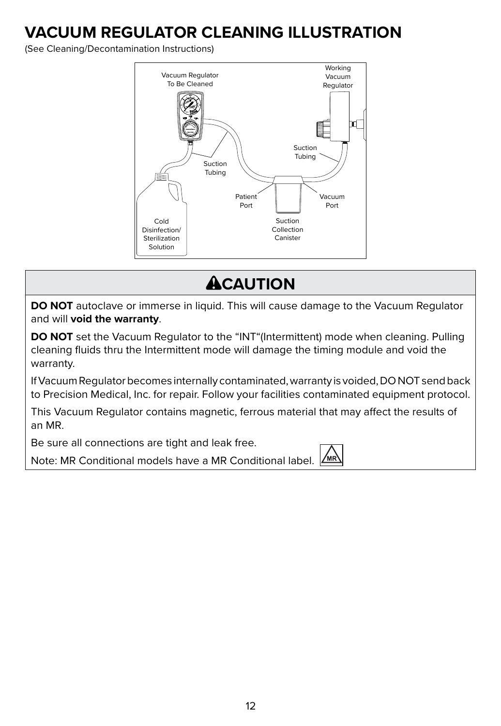### **VACUUM REGULATOR CLEANING ILLUSTRATION**

(See Cleaning/Decontamination Instructions)



# **ACAUTION**

**DO NOT** autoclave or immerse in liquid. This will cause damage to the Vacuum Regulator and will **void the warranty**.

**DO NOT** set the Vacuum Regulator to the "INT"(Intermittent) mode when cleaning. Pulling cleaning fluids thru the Intermittent mode will damage the timing module and void the warranty.

If Vacuum Regulator becomes internally contaminated, warranty is voided, DO NOT send back to Precision Medical, Inc. for repair. Follow your facilities contaminated equipment protocol.

This Vacuum Regulator contains magnetic, ferrous material that may affect the results of an MR.

Be sure all connections are tight and leak free.

Note: MR Conditional models have a MR Conditional label.

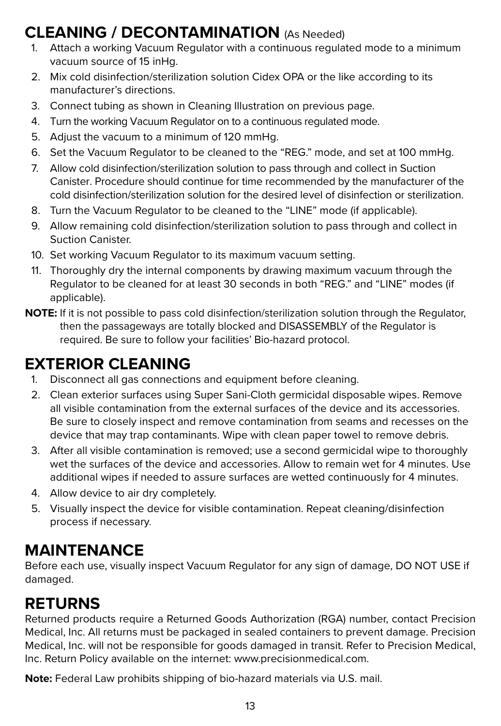### **CLEANING / DECONTAMINATION** (As Needed)

- 1. Attach a working Vacuum Regulator with a continuous regulated mode to a minimum vacuum source of 15 inHg.
- 2. Mix cold disinfection/sterilization solution Cidex OPA or the like according to its manufacturer's directions.
- 3. Connect tubing as shown in Cleaning Illustration on previous page.
- 4. Turn the working Vacuum Regulator on to a continuous regulated mode.
- 5. Adjust the vacuum to a minimum of 120 mmHg.
- 6. Set the Vacuum Regulator to be cleaned to the "REG." mode, and set at 100 mmHg.
- 7. Allow cold disinfection/sterilization solution to pass through and collect in Suction Canister. Procedure should continue for time recommended by the manufacturer of the cold disinfection/sterilization solution for the desired level of disinfection or sterilization.
- 8. Turn the Vacuum Regulator to be cleaned to the "LINE" mode (if applicable).
- 9. Allow remaining cold disinfection/sterilization solution to pass through and collect in Suction Canister.
- 10. Set working Vacuum Regulator to its maximum vacuum setting.
- 11. Thoroughly dry the internal components by drawing maximum vacuum through the Regulator to be cleaned for at least 30 seconds in both "REG." and "LINE" modes (if applicable).
- **NOTE:** If it is not possible to pass cold disinfection/sterilization solution through the Regulator, then the passageways are totally blocked and DISASSEMBLY of the Regulator is required. Be sure to follow your facilities' Bio-hazard protocol.

# **EXTERIOR CLEANING**

- 1. Disconnect all gas connections and equipment before cleaning.
- 2. Clean exterior surfaces using Super Sani-Cloth germicidal disposable wipes. Remove all visible contamination from the external surfaces of the device and its accessories. Be sure to closely inspect and remove contamination from seams and recesses on the device that may trap contaminants. Wipe with clean paper towel to remove debris.
- 3. After all visible contamination is removed; use a second germicidal wipe to thoroughly wet the surfaces of the device and accessories. Allow to remain wet for 4 minutes. Use additional wipes if needed to assure surfaces are wetted continuously for 4 minutes.
- 4. Allow device to air dry completely.
- 5. Visually inspect the device for visible contamination. Repeat cleaning/disinfection process if necessary*.*

# **MAINTENANCE**

Before each use, visually inspect Vacuum Regulator for any sign of damage, DO NOT USE if damaged.

# **RETURNS**

Returned products require a Returned Goods Authorization (RGA) number, contact Precision Medical, Inc. All returns must be packaged in sealed containers to prevent damage. Precision Medical, Inc. will not be responsible for goods damaged in transit. Refer to Precision Medical, Inc. Return Policy available on the internet: www.precisionmedical.com.

**Note:** Federal Law prohibits shipping of bio-hazard materials via U.S. mail.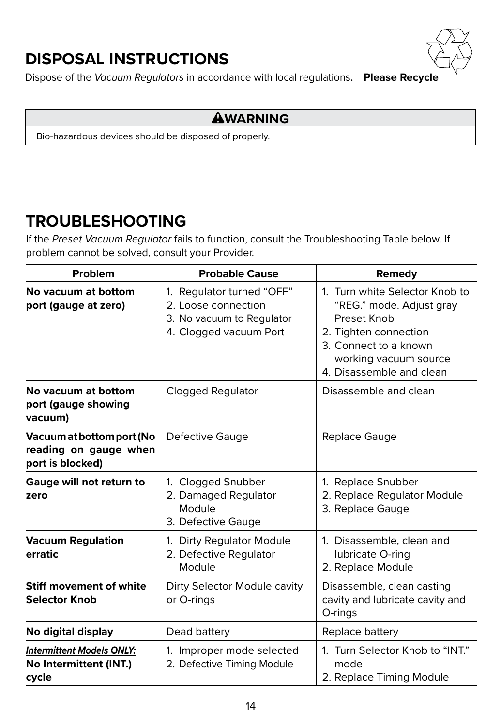# **DISPOSAL INSTRUCTIONS**



Dispose of the *Vacuum Regulators* in accordance with local regulations. **Please Recycle**

#### **AWARNING**

Bio-hazardous devices should be disposed of properly.

### **TROUBLESHOOTING**

If the *Preset Vacuum Regulator* fails to function, consult the Troubleshooting Table below. If problem cannot be solved, consult your Provider.

| Problem                                                                | <b>Probable Cause</b>                                                                                   | Remedy                                                                                                                                                                           |
|------------------------------------------------------------------------|---------------------------------------------------------------------------------------------------------|----------------------------------------------------------------------------------------------------------------------------------------------------------------------------------|
| No vacuum at bottom<br>port (gauge at zero)                            | 1. Regulator turned "OFF"<br>2. Loose connection<br>3. No vacuum to Regulator<br>4. Clogged vacuum Port | 1. Turn white Selector Knob to<br>"REG." mode. Adjust gray<br>Preset Knob<br>2. Tighten connection<br>3. Connect to a known<br>working vacuum source<br>4. Disassemble and clean |
| No vacuum at bottom<br>port (gauge showing<br>vacuum)                  | Clogged Regulator                                                                                       | Disassemble and clean                                                                                                                                                            |
| Vacuum at bottom port (No<br>reading on gauge when<br>port is blocked) | Defective Gauge                                                                                         | Replace Gauge                                                                                                                                                                    |
| Gauge will not return to<br>zero                                       | 1. Clogged Snubber<br>2. Damaged Regulator<br>Module<br>3. Defective Gauge                              | 1. Replace Snubber<br>2. Replace Regulator Module<br>3. Replace Gauge                                                                                                            |
| <b>Vacuum Regulation</b><br>erratic                                    | 1. Dirty Regulator Module<br>2. Defective Regulator<br>Module                                           | 1. Disassemble, clean and<br>lubricate O-ring<br>2. Replace Module                                                                                                               |
| Stiff movement of white<br><b>Selector Knob</b>                        | Dirty Selector Module cavity<br>or O-rings                                                              | Disassemble, clean casting<br>cavity and lubricate cavity and<br>O-rings                                                                                                         |
| No digital display                                                     | Dead battery                                                                                            | Replace battery                                                                                                                                                                  |
| <b>Intermittent Models ONLY:</b><br>No Intermittent (INT.)<br>cycle    | 1. Improper mode selected<br>2. Defective Timing Module                                                 | 1. Turn Selector Knob to "INT."<br>mode<br>2. Replace Timing Module                                                                                                              |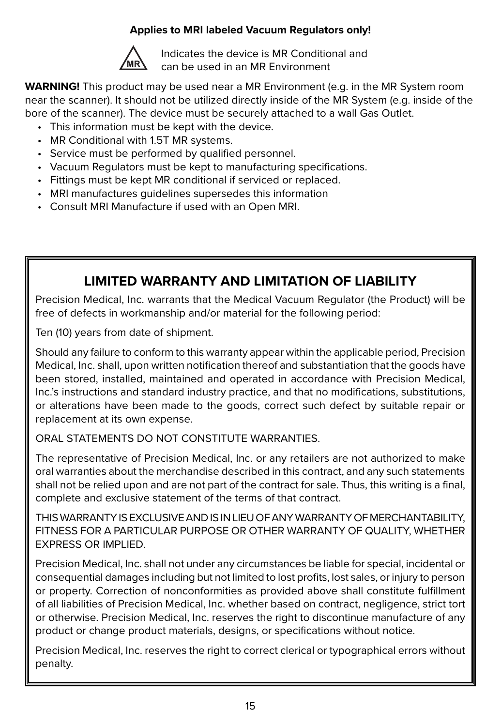#### **Applies to MRI labeled Vacuum Regulators only!**



Indicates the device is MR Conditional and can be used in an MR Environment

**WARNING!** This product may be used near a MR Environment (e.g. in the MR System room near the scanner). It should not be utilized directly inside of the MR System (e.g. inside of the bore of the scanner). The device must be securely attached to a wall Gas Outlet.

- This information must be kept with the device.
- MR Conditional with 1.5T MR systems.
- Service must be performed by qualified personnel.
- Vacuum Regulators must be kept to manufacturing specifications.
- Fittings must be kept MR conditional if serviced or replaced.
- MRI manufactures guidelines supersedes this information
- Consult MRI Manufacture if used with an Open MRI.

#### **LIMITED WARRANTY AND LIMITATION OF LIABILITY**

Precision Medical, Inc. warrants that the Medical Vacuum Regulator (the Product) will be free of defects in workmanship and/or material for the following period:

Ten (10) years from date of shipment.

Should any failure to conform to this warranty appear within the applicable period, Precision Medical, Inc. shall, upon written notification thereof and substantiation that the goods have been stored, installed, maintained and operated in accordance with Precision Medical, Inc.'s instructions and standard industry practice, and that no modifications, substitutions, or alterations have been made to the goods, correct such defect by suitable repair or replacement at its own expense.

#### ORAL STATEMENTS DO NOT CONSTITUTE WARRANTIES.

The representative of Precision Medical, Inc. or any retailers are not authorized to make oral warranties about the merchandise described in this contract, and any such statements shall not be relied upon and are not part of the contract for sale. Thus, this writing is a final, complete and exclusive statement of the terms of that contract.

THIS WARRANTY IS EXCLUSIVE AND IS IN LIEU OF ANY WARRANTY OF MERCHANTABILITY, FITNESS FOR A PARTICULAR PURPOSE OR OTHER WARRANTY OF QUALITY, WHETHER EXPRESS OR IMPLIED.

Precision Medical, Inc. shall not under any circumstances be liable for special, incidental or consequential damages including but not limited to lost profits, lost sales, or injury to person or property. Correction of nonconformities as provided above shall constitute fulfillment of all liabilities of Precision Medical, Inc. whether based on contract, negligence, strict tort or otherwise. Precision Medical, Inc. reserves the right to discontinue manufacture of any product or change product materials, designs, or specifications without notice.

Precision Medical, Inc. reserves the right to correct clerical or typographical errors without penalty.